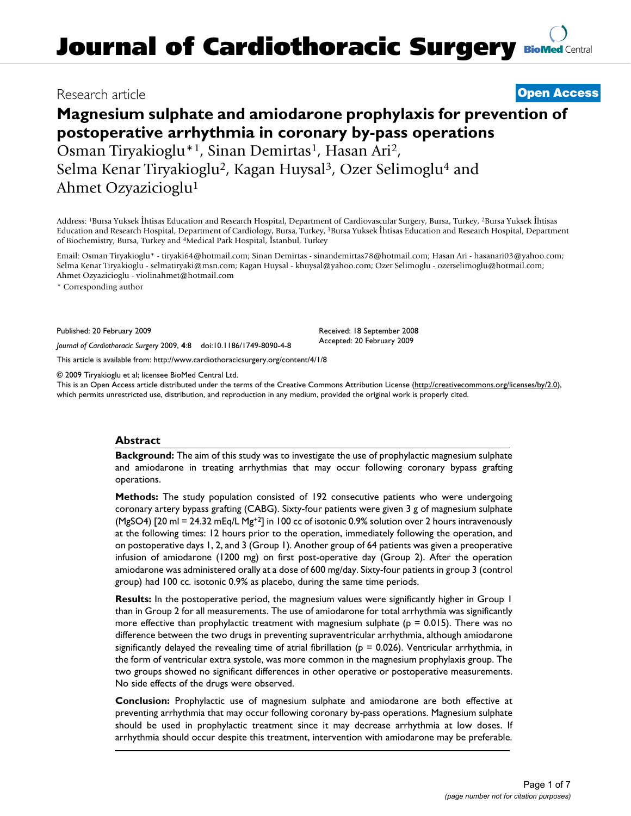## Research article **[Open Access](http://www.biomedcentral.com/info/about/charter/)**

# **Magnesium sulphate and amiodarone prophylaxis for prevention of postoperative arrhythmia in coronary by-pass operations**

Osman Tiryakioglu\*<sup>1</sup>, Sinan Demirtas<sup>1</sup>, Hasan Ari<sup>2</sup>, Selma Kenar Tiryakioglu2, Kagan Huysal3, Ozer Selimoglu4 and Ahmet Ozyazicioglu1

Address: 1Bursa Yuksek İhtisas Education and Research Hospital, Department of Cardiovascular Surgery, Bursa, Turkey, 2Bursa Yuksek İhtisas Education and Research Hospital, Department of Cardiology, Bursa, Turkey, 3Bursa Yuksek İhtisas Education and Research Hospital, Department of Biochemistry, Bursa, Turkey and 4Medical Park Hospital, İstanbul, Turkey

Email: Osman Tiryakioglu\* - tiryaki64@hotmail.com; Sinan Demirtas - sinandemirtas78@hotmail.com; Hasan Ari - hasanari03@yahoo.com; Selma Kenar Tiryakioglu - selmatiryaki@msn.com; Kagan Huysal - khuysal@yahoo.com; Ozer Selimoglu - ozerselimoglu@hotmail.com; Ahmet Ozyazicioglu - violinahmet@hotmail.com

\* Corresponding author

Published: 20 February 2009

*Journal of Cardiothoracic Surgery* 2009, **4**:8 doi:10.1186/1749-8090-4-8

[This article is available from: http://www.cardiothoracicsurgery.org/content/4/1/8](http://www.cardiothoracicsurgery.org/content/4/1/8)

© 2009 Tiryakioglu et al; licensee BioMed Central Ltd.

This is an Open Access article distributed under the terms of the Creative Commons Attribution License [\(http://creativecommons.org/licenses/by/2.0\)](http://creativecommons.org/licenses/by/2.0), which permits unrestricted use, distribution, and reproduction in any medium, provided the original work is properly cited.

Received: 18 September 2008 Accepted: 20 February 2009

### **Abstract**

**Background:** The aim of this study was to investigate the use of prophylactic magnesium sulphate and amiodarone in treating arrhythmias that may occur following coronary bypass grafting operations.

**Methods:** The study population consisted of 192 consecutive patients who were undergoing coronary artery bypass grafting (CABG). Sixty-four patients were given 3 g of magnesium sulphate (MgSO4) [20 ml = 24.32 mEq/L Mg<sup>+2</sup>] in 100 cc of isotonic 0.9% solution over 2 hours intravenously at the following times: 12 hours prior to the operation, immediately following the operation, and on postoperative days 1, 2, and 3 (Group 1). Another group of 64 patients was given a preoperative infusion of amiodarone (1200 mg) on first post-operative day (Group 2). After the operation amiodarone was administered orally at a dose of 600 mg/day. Sixty-four patients in group 3 (control group) had 100 cc. isotonic 0.9% as placebo, during the same time periods.

**Results:** In the postoperative period, the magnesium values were significantly higher in Group 1 than in Group 2 for all measurements. The use of amiodarone for total arrhythmia was significantly more effective than prophylactic treatment with magnesium sulphate ( $p = 0.015$ ). There was no difference between the two drugs in preventing supraventricular arrhythmia, although amiodarone significantly delayed the revealing time of atrial fibrillation ( $p = 0.026$ ). Ventricular arrhythmia, in the form of ventricular extra systole, was more common in the magnesium prophylaxis group. The two groups showed no significant differences in other operative or postoperative measurements. No side effects of the drugs were observed.

**Conclusion:** Prophylactic use of magnesium sulphate and amiodarone are both effective at preventing arrhythmia that may occur following coronary by-pass operations. Magnesium sulphate should be used in prophylactic treatment since it may decrease arrhythmia at low doses. If arrhythmia should occur despite this treatment, intervention with amiodarone may be preferable.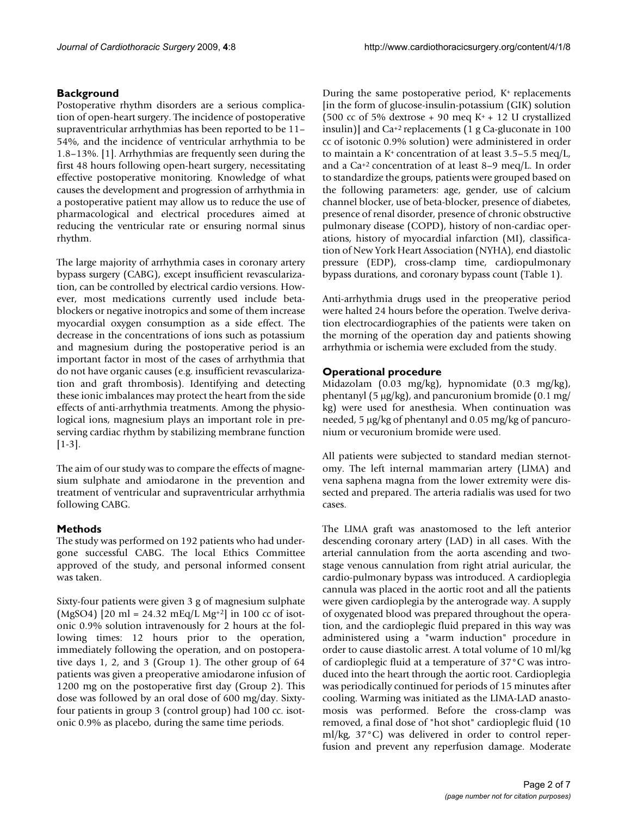#### **Background**

Postoperative rhythm disorders are a serious complication of open-heart surgery. The incidence of postoperative supraventricular arrhythmias has been reported to be 11– 54%, and the incidence of ventricular arrhythmia to be 1.8–13%. [1]. Arrhythmias are frequently seen during the first 48 hours following open-heart surgery, necessitating effective postoperative monitoring. Knowledge of what causes the development and progression of arrhythmia in a postoperative patient may allow us to reduce the use of pharmacological and electrical procedures aimed at reducing the ventricular rate or ensuring normal sinus rhythm.

The large majority of arrhythmia cases in coronary artery bypass surgery (CABG), except insufficient revascularization, can be controlled by electrical cardio versions. However, most medications currently used include betablockers or negative inotropics and some of them increase myocardial oxygen consumption as a side effect. The decrease in the concentrations of ions such as potassium and magnesium during the postoperative period is an important factor in most of the cases of arrhythmia that do not have organic causes (e.g. insufficient revascularization and graft thrombosis). Identifying and detecting these ionic imbalances may protect the heart from the side effects of anti-arrhythmia treatments. Among the physiological ions, magnesium plays an important role in preserving cardiac rhythm by stabilizing membrane function  $[1-3]$ .

The aim of our study was to compare the effects of magnesium sulphate and amiodarone in the prevention and treatment of ventricular and supraventricular arrhythmia following CABG.

### **Methods**

The study was performed on 192 patients who had undergone successful CABG. The local Ethics Committee approved of the study, and personal informed consent was taken.

Sixty-four patients were given 3 g of magnesium sulphate (MgSO4) [20 ml = 24.32 mEq/L Mg<sup>+2</sup>] in 100 cc of isotonic 0.9% solution intravenously for 2 hours at the following times: 12 hours prior to the operation, immediately following the operation, and on postoperative days 1, 2, and 3 (Group 1). The other group of 64 patients was given a preoperative amiodarone infusion of 1200 mg on the postoperative first day (Group 2). This dose was followed by an oral dose of 600 mg/day. Sixtyfour patients in group 3 (control group) had 100 cc. isotonic 0.9% as placebo, during the same time periods.

During the same postoperative period, K+ replacements [in the form of glucose-insulin-potassium (GIK) solution (500 cc of 5% dextrose + 90 meq K<sup>+</sup> + 12 U crystallized insulin)] and  $Ca^{+2}$  replacements (1 g Ca-gluconate in 100 cc of isotonic 0.9% solution) were administered in order to maintain a  $K^+$  concentration of at least 3.5–5.5 meg/L, and a Ca+2 concentration of at least 8–9 meq/L. In order to standardize the groups, patients were grouped based on the following parameters: age, gender, use of calcium channel blocker, use of beta-blocker, presence of diabetes, presence of renal disorder, presence of chronic obstructive pulmonary disease (COPD), history of non-cardiac operations, history of myocardial infarction (MI), classification of New York Heart Association (NYHA), end diastolic pressure (EDP), cross-clamp time, cardiopulmonary bypass durations, and coronary bypass count (Table 1).

Anti-arrhythmia drugs used in the preoperative period were halted 24 hours before the operation. Twelve derivation electrocardiographies of the patients were taken on the morning of the operation day and patients showing arrhythmia or ischemia were excluded from the study.

#### **Operational procedure**

Midazolam (0.03 mg/kg), hypnomidate (0.3 mg/kg), phentanyl (5 μg/kg), and pancuronium bromide (0.1 mg/ kg) were used for anesthesia. When continuation was needed, 5 μg/kg of phentanyl and 0.05 mg/kg of pancuronium or vecuronium bromide were used.

All patients were subjected to standard median sternotomy. The left internal mammarian artery (LIMA) and vena saphena magna from the lower extremity were dissected and prepared. The arteria radialis was used for two cases.

The LIMA graft was anastomosed to the left anterior descending coronary artery (LAD) in all cases. With the arterial cannulation from the aorta ascending and twostage venous cannulation from right atrial auricular, the cardio-pulmonary bypass was introduced. A cardioplegia cannula was placed in the aortic root and all the patients were given cardioplegia by the anterograde way. A supply of oxygenated blood was prepared throughout the operation, and the cardioplegic fluid prepared in this way was administered using a "warm induction" procedure in order to cause diastolic arrest. A total volume of 10 ml/kg of cardioplegic fluid at a temperature of 37°C was introduced into the heart through the aortic root. Cardioplegia was periodically continued for periods of 15 minutes after cooling. Warming was initiated as the LIMA-LAD anastomosis was performed. Before the cross-clamp was removed, a final dose of "hot shot" cardioplegic fluid (10 ml/kg, 37°C) was delivered in order to control reperfusion and prevent any reperfusion damage. Moderate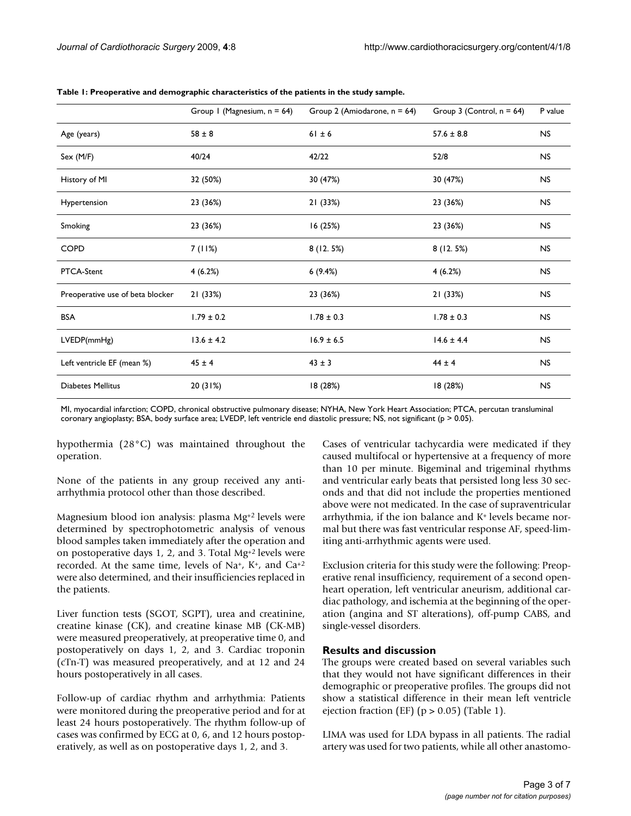|                                  | Group I (Magnesium, $n = 64$ ) | Group 2 (Amiodarone, $n = 64$ ) | Group 3 (Control, $n = 64$ ) | P value        |
|----------------------------------|--------------------------------|---------------------------------|------------------------------|----------------|
| Age (years)                      | $58 \pm 8$                     | $61 \pm 6$                      | $57.6 \pm 8.8$               | <b>NS</b>      |
| Sex (M/F)                        | 40/24                          | 42/22                           | 52/8                         | <b>NS</b>      |
| History of MI                    | 32 (50%)                       | 30 (47%)                        | 30 (47%)                     | <b>NS</b>      |
| Hypertension                     | 23 (36%)                       | 21 (33%)                        | 23 (36%)                     | <b>NS</b>      |
| Smoking                          | 23 (36%)                       | 16 (25%)                        | 23 (36%)                     | <b>NS</b>      |
| <b>COPD</b>                      | 7 (11%)                        | 8(12.5%)                        | 8(12.5%)                     | <b>NS</b>      |
| PTCA-Stent                       | 4(6.2%)                        | 6(9.4%)                         | 4(6.2%)                      | <b>NS</b>      |
| Preoperative use of beta blocker | 21 (33%)                       | 23 (36%)                        | 21 (33%)                     | N <sub>S</sub> |
| <b>BSA</b>                       | $1.79 \pm 0.2$                 | $1.78 \pm 0.3$                  | $1.78 \pm 0.3$               | N <sub>S</sub> |
| LVEDP(mmHg)                      | $13.6 \pm 4.2$                 | $16.9 \pm 6.5$                  | $14.6 \pm 4.4$               | <b>NS</b>      |
| Left ventricle EF (mean %)       | $45 \pm 4$                     | $43 \pm 3$                      | $44 \pm 4$                   | <b>NS</b>      |
| Diabetes Mellitus                | 20(31%)                        | 18 (28%)                        | 18 (28%)                     | <b>NS</b>      |

**Table 1: Preoperative and demographic characteristics of the patients in the study sample.**

MI, myocardial infarction; COPD, chronical obstructive pulmonary disease; NYHA, New York Heart Association; PTCA, percutan transluminal coronary angioplasty; BSA, body surface area; LVEDP, left ventricle end diastolic pressure; NS, not significant (p > 0.05).

hypothermia (28°C) was maintained throughout the operation.

None of the patients in any group received any antiarrhythmia protocol other than those described.

Magnesium blood ion analysis: plasma Mg+2 levels were determined by spectrophotometric analysis of venous blood samples taken immediately after the operation and on postoperative days 1, 2, and 3. Total Mg+2 levels were recorded. At the same time, levels of Na+, K+, and Ca+2 were also determined, and their insufficiencies replaced in the patients.

Liver function tests (SGOT, SGPT), urea and creatinine, creatine kinase (CK), and creatine kinase MB (CK-MB) were measured preoperatively, at preoperative time 0, and postoperatively on days 1, 2, and 3. Cardiac troponin (cTn-T) was measured preoperatively, and at 12 and 24 hours postoperatively in all cases.

Follow-up of cardiac rhythm and arrhythmia: Patients were monitored during the preoperative period and for at least 24 hours postoperatively. The rhythm follow-up of cases was confirmed by ECG at 0, 6, and 12 hours postoperatively, as well as on postoperative days 1, 2, and 3.

Cases of ventricular tachycardia were medicated if they caused multifocal or hypertensive at a frequency of more than 10 per minute. Bigeminal and trigeminal rhythms and ventricular early beats that persisted long less 30 seconds and that did not include the properties mentioned above were not medicated. In the case of supraventricular arrhythmia, if the ion balance and K+ levels became normal but there was fast ventricular response AF, speed-limiting anti-arrhythmic agents were used.

Exclusion criteria for this study were the following: Preoperative renal insufficiency, requirement of a second openheart operation, left ventricular aneurism, additional cardiac pathology, and ischemia at the beginning of the operation (angina and ST alterations), off-pump CABS, and single-vessel disorders.

#### **Results and discussion**

The groups were created based on several variables such that they would not have significant differences in their demographic or preoperative profiles. The groups did not show a statistical difference in their mean left ventricle ejection fraction (EF) ( $p > 0.05$ ) (Table 1).

LIMA was used for LDA bypass in all patients. The radial artery was used for two patients, while all other anastomo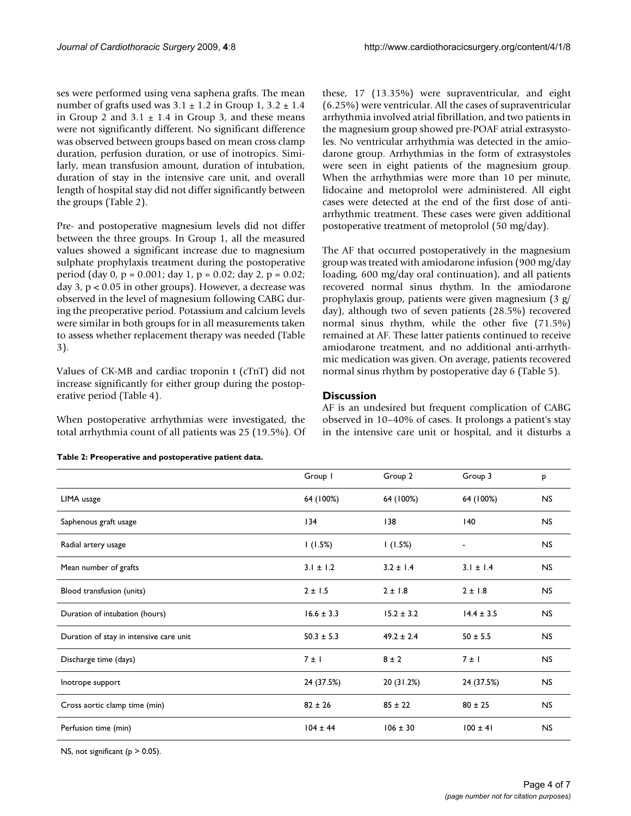ses were performed using vena saphena grafts. The mean number of grafts used was  $3.1 \pm 1.2$  in Group  $1, 3.2 \pm 1.4$ in Group 2 and  $3.1 \pm 1.4$  in Group 3, and these means were not significantly different. No significant difference was observed between groups based on mean cross clamp duration, perfusion duration, or use of inotropics. Similarly, mean transfusion amount, duration of intubation, duration of stay in the intensive care unit, and overall length of hospital stay did not differ significantly between the groups (Table 2).

Pre- and postoperative magnesium levels did not differ between the three groups. In Group 1, all the measured values showed a significant increase due to magnesium sulphate prophylaxis treatment during the postoperative period (day 0, p = 0.001; day 1, p = 0.02; day 2, p = 0.02; day 3, p < 0.05 in other groups). However, a decrease was observed in the level of magnesium following CABG during the preoperative period. Potassium and calcium levels were similar in both groups for in all measurements taken to assess whether replacement therapy was needed (Table 3).

Values of CK-MB and cardiac troponin t (cTnT) did not increase significantly for either group during the postoperative period (Table 4).

When postoperative arrhythmias were investigated, the total arrhythmia count of all patients was 25 (19.5%). Of these, 17 (13.35%) were supraventricular, and eight (6.25%) were ventricular. All the cases of supraventricular arrhythmia involved atrial fibrillation, and two patients in the magnesium group showed pre-POAF atrial extrasystoles. No ventricular arrhythmia was detected in the amiodarone group. Arrhythmias in the form of extrasystoles were seen in eight patients of the magnesium group. When the arrhythmias were more than 10 per minute, lidocaine and metoprolol were administered. All eight cases were detected at the end of the first dose of antiarrhythmic treatment. These cases were given additional postoperative treatment of metoprolol (50 mg/day).

The AF that occurred postoperatively in the magnesium group was treated with amiodarone infusion (900 mg/day loading, 600 mg/day oral continuation), and all patients recovered normal sinus rhythm. In the amiodarone prophylaxis group, patients were given magnesium (3 g/ day), although two of seven patients (28.5%) recovered normal sinus rhythm, while the other five (71.5%) remained at AF. These latter patients continued to receive amiodarone treatment, and no additional anti-arrhythmic medication was given. On average, patients recovered normal sinus rhythm by postoperative day 6 (Table 5).

#### **Discussion**

AF is an undesired but frequent complication of CABG observed in 10–40% of cases. It prolongs a patient's stay in the intensive care unit or hospital, and it disturbs a

**Table 2: Preoperative and postoperative patient data.**

|                                         | Group I        | Group 2        | Group 3        | P         |
|-----------------------------------------|----------------|----------------|----------------|-----------|
| LIMA usage                              | 64 (100%)      | 64 (100%)      | 64 (100%)      | NS.       |
| Saphenous graft usage                   | 134            | 138            | 140            | <b>NS</b> |
| Radial artery usage                     | 1(1.5%)        | (1.5%)         | $\blacksquare$ | NS.       |
| Mean number of grafts                   | $3.1 \pm 1.2$  | $3.2 \pm 1.4$  | $3.1 \pm 1.4$  | <b>NS</b> |
| Blood transfusion (units)               | 2 ± 1.5        | $2 \pm 1.8$    | $2 \pm 1.8$    | <b>NS</b> |
| Duration of intubation (hours)          | $16.6 \pm 3.3$ | $15.2 \pm 3.2$ | $14.4 \pm 3.5$ | <b>NS</b> |
| Duration of stay in intensive care unit | $50.3 \pm 5.3$ | $49.2 \pm 2.4$ | $50 \pm 5.5$   | <b>NS</b> |
| Discharge time (days)                   | 7 ± 1          | $8 \pm 2$      | 7 ± 1          | <b>NS</b> |
| Inotrope support                        | 24 (37.5%)     | 20 (31.2%)     | 24 (37.5%)     | <b>NS</b> |
| Cross aortic clamp time (min)           | $82 \pm 26$    | $85 \pm 22$    | $80 \pm 25$    | NS.       |
| Perfusion time (min)                    | $104 \pm 44$   | $106 \pm 30$   | $100 \pm 41$   | <b>NS</b> |

NS, not significant ( $p > 0.05$ ).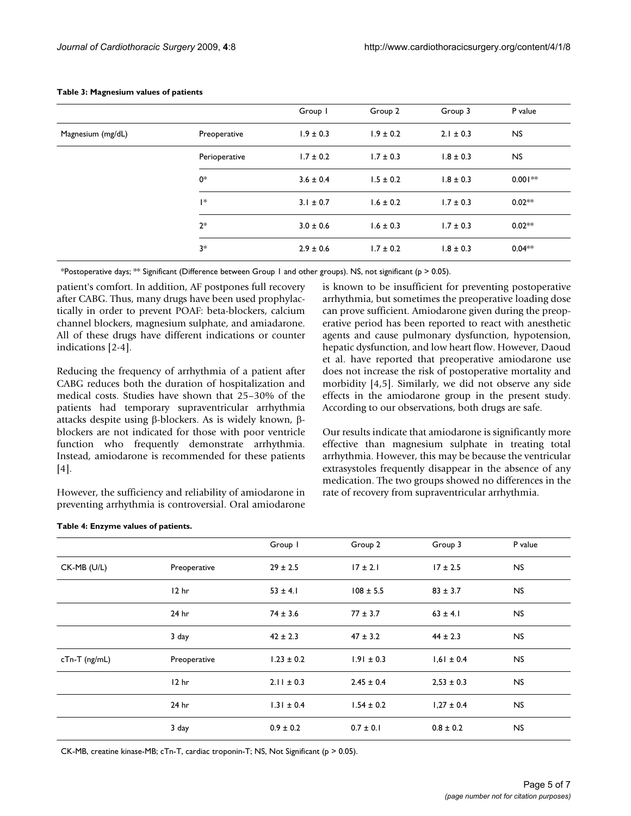|                   |               | Group I       | Group 2       | Group 3       | P value   |
|-------------------|---------------|---------------|---------------|---------------|-----------|
| Magnesium (mg/dL) | Preoperative  | $1.9 \pm 0.3$ | $1.9 \pm 0.2$ | $2.1 \pm 0.3$ | <b>NS</b> |
|                   | Perioperative | $1.7 \pm 0.2$ | $1.7 \pm 0.3$ | $1.8 \pm 0.3$ | <b>NS</b> |
|                   | 0*            | $3.6 \pm 0.4$ | $1.5 \pm 0.2$ | $1.8 \pm 0.3$ | $0.001**$ |
|                   | l*            | $3.1 \pm 0.7$ | $1.6 \pm 0.2$ | $1.7 \pm 0.3$ | $0.02**$  |
|                   | $2*$          | $3.0 \pm 0.6$ | $1.6 \pm 0.3$ | $1.7 \pm 0.3$ | $0.02**$  |
|                   | $3*$          | $2.9 \pm 0.6$ | $1.7 \pm 0.2$ | $1.8 \pm 0.3$ | $0.04**$  |

#### **Table 3: Magnesium values of patients**

\*Postoperative days; \*\* Significant (Difference between Group 1 and other groups). NS, not significant ( $p > 0.05$ ).

patient's comfort. In addition, AF postpones full recovery after CABG. Thus, many drugs have been used prophylactically in order to prevent POAF: beta-blockers, calcium channel blockers, magnesium sulphate, and amiadarone. All of these drugs have different indications or counter indications [2-4].

Reducing the frequency of arrhythmia of a patient after CABG reduces both the duration of hospitalization and medical costs. Studies have shown that 25–30% of the patients had temporary supraventricular arrhythmia attacks despite using β-blockers. As is widely known, βblockers are not indicated for those with poor ventricle function who frequently demonstrate arrhythmia. Instead, amiodarone is recommended for these patients [4].

However, the sufficiency and reliability of amiodarone in preventing arrhythmia is controversial. Oral amiodarone is known to be insufficient for preventing postoperative arrhythmia, but sometimes the preoperative loading dose can prove sufficient. Amiodarone given during the preoperative period has been reported to react with anesthetic agents and cause pulmonary dysfunction, hypotension, hepatic dysfunction, and low heart flow. However, Daoud et al. have reported that preoperative amiodarone use does not increase the risk of postoperative mortality and morbidity [4,5]. Similarly, we did not observe any side effects in the amiodarone group in the present study. According to our observations, both drugs are safe.

Our results indicate that amiodarone is significantly more effective than magnesium sulphate in treating total arrhythmia. However, this may be because the ventricular extrasystoles frequently disappear in the absence of any medication. The two groups showed no differences in the rate of recovery from supraventricular arrhythmia.

|                 |                  | Group I        | Group 2        | Group 3        | P value   |
|-----------------|------------------|----------------|----------------|----------------|-----------|
| CK-MB (U/L)     | Preoperative     | $29 \pm 2.5$   | $17 \pm 2.1$   | $17 \pm 2.5$   | <b>NS</b> |
|                 | 12 <sub>hr</sub> | $53 \pm 4.1$   | $108 \pm 5.5$  | $83 \pm 3.7$   | <b>NS</b> |
|                 | 24 hr            | $74 \pm 3.6$   | $77 \pm 3.7$   | $63 \pm 4.1$   | <b>NS</b> |
|                 | 3 day            | $42 \pm 2.3$   | $47 \pm 3.2$   | $44 \pm 2.3$   | <b>NS</b> |
| $cTn-T$ (ng/mL) | Preoperative     | $1.23 \pm 0.2$ | $1.91 \pm 0.3$ | $1,61 \pm 0.4$ | NS        |
|                 | 12 <sub>hr</sub> | $2.11 \pm 0.3$ | $2.45 \pm 0.4$ | $2,53 \pm 0.3$ | <b>NS</b> |
|                 | 24 hr            | $1.31 \pm 0.4$ | $1.54 \pm 0.2$ | $1,27 \pm 0.4$ | <b>NS</b> |
|                 | 3 day            | $0.9 \pm 0.2$  | $0.7 \pm 0.1$  | $0.8 \pm 0.2$  | <b>NS</b> |

**Table 4: Enzyme values of patients.**

CK-MB, creatine kinase-MB; cTn-T, cardiac troponin-T; NS, Not Significant (p > 0.05).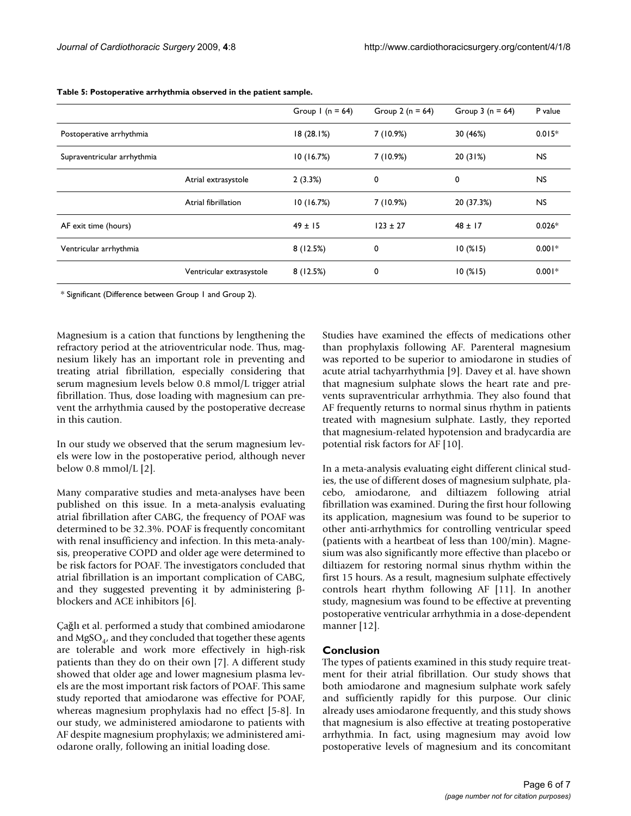|                             |                          | Group $1(n = 64)$ | Group 2 ( $n = 64$ ) | Group $3(n = 64)$ | P value   |
|-----------------------------|--------------------------|-------------------|----------------------|-------------------|-----------|
| Postoperative arrhythmia    |                          | 18(28.1%)         | 7(10.9%)             | 30 (46%)          | $0.015*$  |
| Supraventricular arrhythmia |                          | 10(16.7%)         | 7(10.9%)             | 20(31%)           | <b>NS</b> |
|                             | Atrial extrasystole      | 2(3.3%)           | 0                    | 0                 | <b>NS</b> |
|                             | Atrial fibrillation      | 10(16.7%)         | 7(10.9%)             | 20 (37.3%)        | <b>NS</b> |
| AF exit time (hours)        |                          | $49 \pm 15$       | $123 \pm 27$         | $48 \pm 17$       | $0.026*$  |
| Ventricular arrhythmia      |                          | 8(12.5%)          | 0                    | 10(%15)           | $0.001*$  |
|                             | Ventricular extrasystole | 8(12.5%)          | 0                    | 10(%15)           | $0.001*$  |

**Table 5: Postoperative arrhythmia observed in the patient sample.**

\* Significant (Difference between Group 1 and Group 2).

Magnesium is a cation that functions by lengthening the refractory period at the atrioventricular node. Thus, magnesium likely has an important role in preventing and treating atrial fibrillation, especially considering that serum magnesium levels below 0.8 mmol/L trigger atrial fibrillation. Thus, dose loading with magnesium can prevent the arrhythmia caused by the postoperative decrease in this caution.

In our study we observed that the serum magnesium levels were low in the postoperative period, although never below  $0.8 \text{ mmol/L}$  [2].

Many comparative studies and meta-analyses have been published on this issue. In a meta-analysis evaluating atrial fibrillation after CABG, the frequency of POAF was determined to be 32.3%. POAF is frequently concomitant with renal insufficiency and infection. In this meta-analysis, preoperative COPD and older age were determined to be risk factors for POAF. The investigators concluded that atrial fibrillation is an important complication of CABG, and they suggested preventing it by administering βblockers and ACE inhibitors [6].

Çağlı et al. performed a study that combined amiodarone and  $MgSO_4$ , and they concluded that together these agents are tolerable and work more effectively in high-risk patients than they do on their own [7]. A different study showed that older age and lower magnesium plasma levels are the most important risk factors of POAF. This same study reported that amiodarone was effective for POAF, whereas magnesium prophylaxis had no effect [5-8]. In our study, we administered amiodarone to patients with AF despite magnesium prophylaxis; we administered amiodarone orally, following an initial loading dose.

Studies have examined the effects of medications other than prophylaxis following AF. Parenteral magnesium was reported to be superior to amiodarone in studies of acute atrial tachyarrhythmia [9]. Davey et al. have shown that magnesium sulphate slows the heart rate and prevents supraventricular arrhythmia. They also found that AF frequently returns to normal sinus rhythm in patients treated with magnesium sulphate. Lastly, they reported that magnesium-related hypotension and bradycardia are potential risk factors for AF [10].

In a meta-analysis evaluating eight different clinical studies, the use of different doses of magnesium sulphate, placebo, amiodarone, and diltiazem following atrial fibrillation was examined. During the first hour following its application, magnesium was found to be superior to other anti-arrhythmics for controlling ventricular speed (patients with a heartbeat of less than 100/min). Magnesium was also significantly more effective than placebo or diltiazem for restoring normal sinus rhythm within the first 15 hours. As a result, magnesium sulphate effectively controls heart rhythm following AF [11]. In another study, magnesium was found to be effective at preventing postoperative ventricular arrhythmia in a dose-dependent manner [12].

#### **Conclusion**

The types of patients examined in this study require treatment for their atrial fibrillation. Our study shows that both amiodarone and magnesium sulphate work safely and sufficiently rapidly for this purpose. Our clinic already uses amiodarone frequently, and this study shows that magnesium is also effective at treating postoperative arrhythmia. In fact, using magnesium may avoid low postoperative levels of magnesium and its concomitant